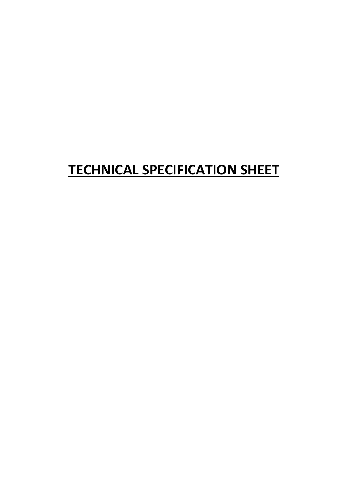# **TECHNICAL SPECIFICATION SHEET**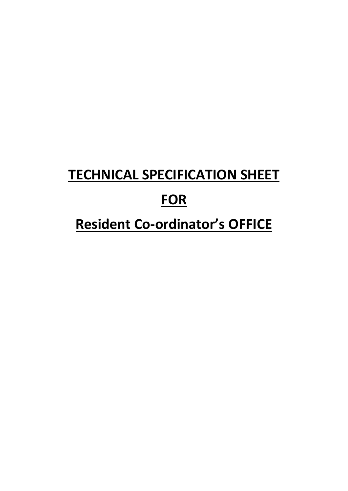# **TECHNICAL SPECIFICATION SHEET**

# **FOR**

# **Resident Co-ordinator's OFFICE**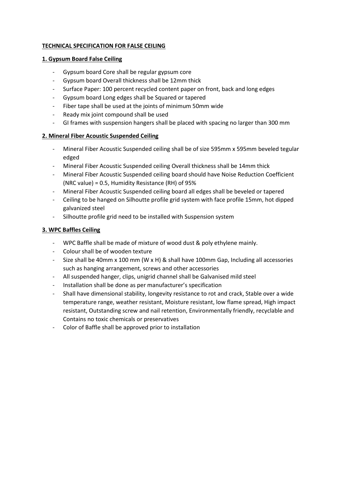# **TECHNICAL SPECIFICATION FOR FALSE CEILING**

### **1. Gypsum Board False Ceiling**

- Gypsum board Core shall be regular gypsum core
- Gypsum board Overall thickness shall be 12mm thick
- Surface Paper: 100 percent recycled content paper on front, back and long edges
- Gypsum board Long edges shall be Squared or tapered
- Fiber tape shall be used at the joints of minimum 50mm wide
- Ready mix joint compound shall be used
- GI frames with suspension hangers shall be placed with spacing no larger than 300 mm

# **2. Mineral Fiber Acoustic Suspended Ceiling**

- Mineral Fiber Acoustic Suspended ceiling shall be of size 595mm x 595mm beveled tegular edged
- Mineral Fiber Acoustic Suspended ceiling Overall thickness shall be 14mm thick
- Mineral Fiber Acoustic Suspended ceiling board should have Noise Reduction Coefficient (NRC value) = 0.5, Humidity Resistance (RH) of 95%
- Mineral Fiber Acoustic Suspended ceiling board all edges shall be beveled or tapered
- Ceiling to be hanged on Silhoutte profile grid system with face profile 15mm, hot dipped galvanized steel
- Silhoutte profile grid need to be installed with Suspension system

# **3. WPC Baffles Ceiling**

- WPC Baffle shall be made of mixture of wood dust & poly ethylene mainly.
- Colour shall be of wooden texture
- Size shall be 40mm x 100 mm (W x H) & shall have 100mm Gap, Including all accessories such as hanging arrangement, screws and other accessories
- All suspended hanger, clips, unigrid channel shall be Galvanised mild steel
- Installation shall be done as per manufacturer's specification
- Shall have dimensional stability, longevity resistance to rot and crack, Stable over a wide temperature range, weather resistant, Moisture resistant, low flame spread, High impact resistant, Outstanding screw and nail retention, Environmentally friendly, recyclable and Contains no toxic chemicals or preservatives
- Color of Baffle shall be approved prior to installation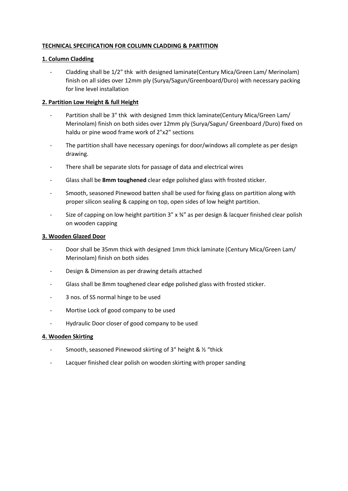# **TECHNICAL SPECIFICATION FOR COLUMN CLADDING & PARTITION**

#### **1. Column Cladding**

- Cladding shall be 1/2" thk with designed laminate(Century Mica/Green Lam/ Merinolam) finish on all sides over 12mm ply (Surya/Sagun/Greenboard/Duro) with necessary packing for line level installation

#### **2. Partition Low Height & full Height**

- Partition shall be 3" thk with designed 1mm thick laminate(Century Mica/Green Lam/ Merinolam) finish on both sides over 12mm ply (Surya/Sagun/ Greenboard /Duro) fixed on haldu or pine wood frame work of 2"x2" sections
- The partition shall have necessary openings for door/windows all complete as per design drawing.
- There shall be separate slots for passage of data and electrical wires
- Glass shall be **8mm toughened** clear edge polished glass with frosted sticker.
- Smooth, seasoned Pinewood batten shall be used for fixing glass on partition along with proper silicon sealing & capping on top, open sides of low height partition.
- Size of capping on low height partition  $3''$  x  $\frac{3}{4}''$  as per design & lacquer finished clear polish on wooden capping

#### **3. Wooden Glazed Door**

- Door shall be 35mm thick with designed 1mm thick laminate (Century Mica/Green Lam/ Merinolam) finish on both sides
- Design & Dimension as per drawing details attached
- Glass shall be 8mm toughened clear edge polished glass with frosted sticker.
- 3 nos. of SS normal hinge to be used
- Mortise Lock of good company to be used
- Hydraulic Door closer of good company to be used

#### **4. Wooden Skirting**

- Smooth, seasoned Pinewood skirting of 3" height & 1/2 "thick
- Lacquer finished clear polish on wooden skirting with proper sanding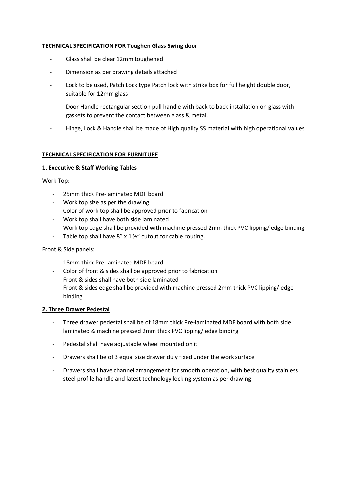#### **TECHNICAL SPECIFICATION FOR Toughen Glass Swing door**

- Glass shall be clear 12mm toughened
- Dimension as per drawing details attached
- Lock to be used, Patch Lock type Patch lock with strike box for full height double door, suitable for 12mm glass
- Door Handle rectangular section pull handle with back to back installation on glass with gaskets to prevent the contact between glass & metal.
- Hinge, Lock & Handle shall be made of High quality SS material with high operational values

#### **TECHNICAL SPECIFICATION FOR FURNITURE**

#### **1. Executive & Staff Working Tables**

Work Top:

- 25mm thick Pre-laminated MDF board
- Work top size as per the drawing
- Color of work top shall be approved prior to fabrication
- Work top shall have both side laminated
- Work top edge shall be provided with machine pressed 2mm thick PVC lipping/ edge binding
- Table top shall have  $8''$  x 1  $\frac{1}{2}''$  cutout for cable routing.

Front & Side panels:

- 18mm thick Pre-laminated MDF board
- Color of front & sides shall be approved prior to fabrication
- Front & sides shall have both side laminated
- Front & sides edge shall be provided with machine pressed 2mm thick PVC lipping/edge binding

#### **2. Three Drawer Pedestal**

- Three drawer pedestal shall be of 18mm thick Pre-laminated MDF board with both side laminated & machine pressed 2mm thick PVC lipping/ edge binding
- Pedestal shall have adjustable wheel mounted on it
- Drawers shall be of 3 equal size drawer duly fixed under the work surface
- Drawers shall have channel arrangement for smooth operation, with best quality stainless steel profile handle and latest technology locking system as per drawing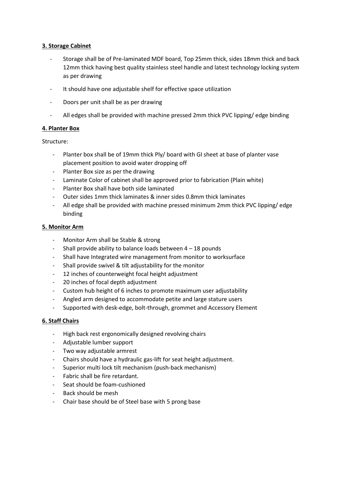### **3. Storage Cabinet**

- Storage shall be of Pre-laminated MDF board, Top 25mm thick, sides 18mm thick and back 12mm thick having best quality stainless steel handle and latest technology locking system as per drawing
- It should have one adjustable shelf for effective space utilization
- Doors per unit shall be as per drawing
- All edges shall be provided with machine pressed 2mm thick PVC lipping/ edge binding

# **4. Planter Box**

Structure:

- Planter box shall be of 19mm thick Ply/ board with GI sheet at base of planter vase placement position to avoid water dropping off
- Planter Box size as per the drawing
- Laminate Color of cabinet shall be approved prior to fabrication (Plain white)
- Planter Box shall have both side laminated
- Outer sides 1mm thick laminates & inner sides 0.8mm thick laminates
- All edge shall be provided with machine pressed minimum 2mm thick PVC lipping/ edge binding

#### **5. Monitor Arm**

- Monitor Arm shall be Stable & strong
- Shall provide ability to balance loads between  $4 18$  pounds
- Shall have Integrated wire management from monitor to worksurface
- Shall provide swivel & tilt adjustability for the monitor
- 12 inches of counterweight focal height adjustment
- 20 inches of focal depth adjustment
- Custom hub height of 6 inches to promote maximum user adjustability
- Angled arm designed to accommodate petite and large stature users
- Supported with desk-edge, bolt-through, grommet and Accessory Element

# **6. Staff Chairs**

- High back rest ergonomically designed revolving chairs
- Adjustable lumber support
- Two way adjustable armrest
- Chairs should have a hydraulic gas-lift for seat height adjustment.
- Superior multi lock tilt mechanism (push-back mechanism)
- Fabric shall be fire retardant.
- Seat should be foam-cushioned
- Back should be mesh
- Chair base should be of Steel base with 5 prong base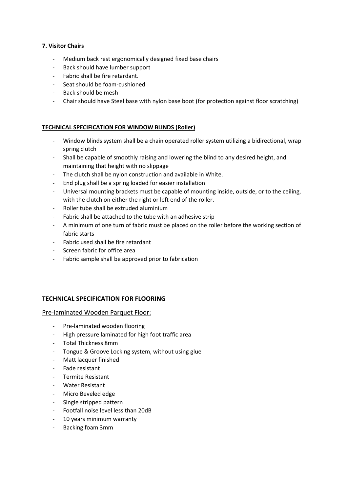# **7. Visitor Chairs**

- Medium back rest ergonomically designed fixed base chairs
- Back should have lumber support
- Fabric shall be fire retardant.
- Seat should be foam-cushioned
- Back should be mesh
- Chair should have Steel base with nylon base boot (for protection against floor scratching)

# **TECHNICAL SPECIFICATION FOR WINDOW BLINDS (Roller)**

- Window blinds system shall be a chain operated roller system utilizing a bidirectional, wrap spring clutch
- Shall be capable of smoothly raising and lowering the blind to any desired height, and maintaining that height with no slippage
- The clutch shall be nylon construction and available in White.
- End plug shall be a spring loaded for easier installation
- Universal mounting brackets must be capable of mounting inside, outside, or to the ceiling, with the clutch on either the right or left end of the roller.
- Roller tube shall be extruded aluminium
- Fabric shall be attached to the tube with an adhesive strip
- A minimum of one turn of fabric must be placed on the roller before the working section of fabric starts
- Fabric used shall be fire retardant
- Screen fabric for office area
- Fabric sample shall be approved prior to fabrication

# **TECHNICAL SPECIFICATION FOR FLOORING**

Pre-laminated Wooden Parquet Floor:

- Pre-laminated wooden flooring
- High pressure laminated for high foot traffic area
- Total Thickness 8mm
- Tongue & Groove Locking system, without using glue
- Matt lacquer finished
- Fade resistant
- Termite Resistant
- Water Resistant
- Micro Beveled edge
- Single stripped pattern
- Footfall noise level less than 20dB
- 10 years minimum warranty
- Backing foam 3mm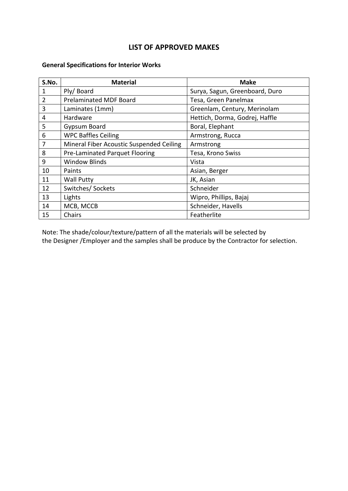# **LIST OF APPROVED MAKES**

# **General Specifications for Interior Works**

| S.No.          | <b>Material</b>                          | <b>Make</b>                    |
|----------------|------------------------------------------|--------------------------------|
| $\mathbf 1$    | Ply/Board                                | Surya, Sagun, Greenboard, Duro |
| $\overline{2}$ | <b>Prelaminated MDF Board</b>            | Tesa, Green Panelmax           |
| 3              | Laminates (1mm)                          | Greenlam, Century, Merinolam   |
| 4              | Hardware                                 | Hettich, Dorma, Godrej, Haffle |
| 5              | Gypsum Board                             | Boral, Elephant                |
| 6              | <b>WPC Baffles Ceiling</b>               | Armstrong, Rucca               |
| 7              | Mineral Fiber Acoustic Suspended Ceiling | Armstrong                      |
| 8              | <b>Pre-Laminated Parquet Flooring</b>    | Tesa, Krono Swiss              |
| 9              | <b>Window Blinds</b>                     | Vista                          |
| 10             | Paints                                   | Asian, Berger                  |
| 11             | <b>Wall Putty</b>                        | JK, Asian                      |
| 12             | Switches/ Sockets                        | Schneider                      |
| 13             | Lights                                   | Wipro, Phillips, Bajaj         |
| 14             | MCB, MCCB                                | Schneider, Havells             |
| 15             | Chairs                                   | Featherlite                    |

Note: The shade/colour/texture/pattern of all the materials will be selected by the Designer /Employer and the samples shall be produce by the Contractor for selection.